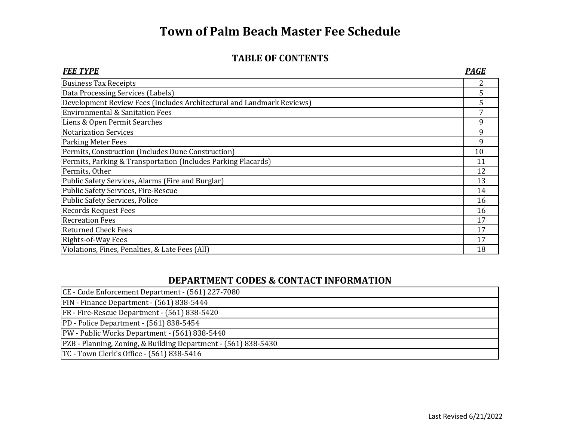#### **TABLE OF CONTENTS**

| <b>FEE TYPE</b>                                                       | PAGE |
|-----------------------------------------------------------------------|------|
| <b>Business Tax Receipts</b>                                          | 2    |
| Data Processing Services (Labels)                                     | 5.   |
| Development Review Fees (Includes Architectural and Landmark Reviews) | 5.   |
| <b>Environmental &amp; Sanitation Fees</b>                            |      |
| Liens & Open Permit Searches                                          | 9    |
| <b>Notarization Services</b>                                          | 9    |
| <b>Parking Meter Fees</b>                                             | 9    |
| Permits, Construction (Includes Dune Construction)                    | 10   |
| Permits, Parking & Transportation (Includes Parking Placards)         | 11   |
| Permits, Other                                                        | 12   |
| Public Safety Services, Alarms (Fire and Burglar)                     | 13   |
| Public Safety Services, Fire-Rescue                                   | 14   |
| <b>Public Safety Services, Police</b>                                 | 16   |
| <b>Records Request Fees</b>                                           | 16   |
| <b>Recreation Fees</b>                                                | 17   |
| <b>Returned Check Fees</b>                                            | 17   |
| Rights-of-Way Fees                                                    | 17   |
| Violations, Fines, Penalties, & Late Fees (All)                       | 18   |

#### **DEPARTMENT CODES & CONTACT INFORMATION**

| CE - Code Enforcement Department - (561) 227-7080              |  |
|----------------------------------------------------------------|--|
| FIN - Finance Department - (561) 838-5444                      |  |
| FR - Fire-Rescue Department - (561) 838-5420                   |  |
| PD - Police Department - (561) 838-5454                        |  |
| PW - Public Works Department - (561) 838-5440                  |  |
| PZB - Planning, Zoning, & Building Department - (561) 838-5430 |  |
| TC - Town Clerk's Office - (561) 838-5416                      |  |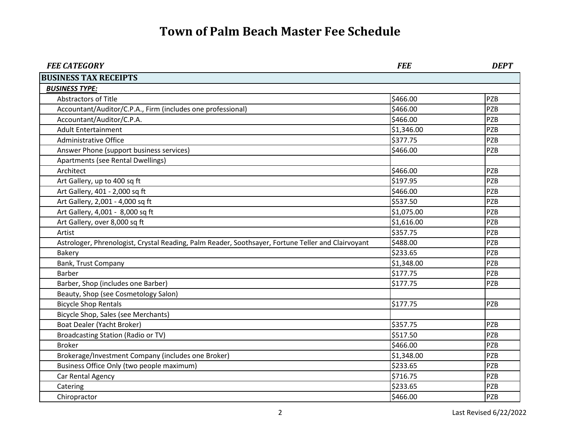| <b>FEE CATEGORY</b>                                                                                | <b>FEE</b> | <b>DEPT</b> |
|----------------------------------------------------------------------------------------------------|------------|-------------|
| <b>BUSINESS TAX RECEIPTS</b>                                                                       |            |             |
| <b>BUSINESS TYPE:</b>                                                                              |            |             |
| <b>Abstractors of Title</b>                                                                        | \$466.00   | <b>PZB</b>  |
| Accountant/Auditor/C.P.A., Firm (includes one professional)                                        | \$466.00   | <b>PZB</b>  |
| Accountant/Auditor/C.P.A.                                                                          | \$466.00   | <b>PZB</b>  |
| <b>Adult Entertainment</b>                                                                         | \$1,346.00 | <b>PZB</b>  |
| <b>Administrative Office</b>                                                                       | \$377.75   | <b>PZB</b>  |
| Answer Phone (support business services)                                                           | \$466.00   | <b>PZB</b>  |
| Apartments (see Rental Dwellings)                                                                  |            |             |
| Architect                                                                                          | \$466.00   | <b>PZB</b>  |
| Art Gallery, up to 400 sq ft                                                                       | \$197.95   | PZB         |
| Art Gallery, 401 - 2,000 sq ft                                                                     | \$466.00   | <b>PZB</b>  |
| Art Gallery, 2,001 - 4,000 sq ft                                                                   | \$537.50   | <b>PZB</b>  |
| Art Gallery, 4,001 - 8,000 sq ft                                                                   | \$1,075.00 | <b>PZB</b>  |
| Art Gallery, over 8,000 sq ft                                                                      | \$1,616.00 | <b>PZB</b>  |
| Artist                                                                                             | \$357.75   | <b>PZB</b>  |
| Astrologer, Phrenologist, Crystal Reading, Palm Reader, Soothsayer, Fortune Teller and Clairvoyant | \$488.00   | <b>PZB</b>  |
| <b>Bakery</b>                                                                                      | \$233.65   | <b>PZB</b>  |
| Bank, Trust Company                                                                                | \$1,348.00 | <b>PZB</b>  |
| <b>Barber</b>                                                                                      | \$177.75   | <b>PZB</b>  |
| Barber, Shop (includes one Barber)                                                                 | \$177.75   | <b>PZB</b>  |
| Beauty, Shop (see Cosmetology Salon)                                                               |            |             |
| <b>Bicycle Shop Rentals</b>                                                                        | \$177.75   | <b>PZB</b>  |
| Bicycle Shop, Sales (see Merchants)                                                                |            |             |
| <b>Boat Dealer (Yacht Broker)</b>                                                                  | \$357.75   | <b>PZB</b>  |
| <b>Broadcasting Station (Radio or TV)</b>                                                          | \$517.50   | <b>PZB</b>  |
| <b>Broker</b>                                                                                      | \$466.00   | <b>PZB</b>  |
| Brokerage/Investment Company (includes one Broker)                                                 | \$1,348.00 | <b>PZB</b>  |
| Business Office Only (two people maximum)                                                          | \$233.65   | <b>PZB</b>  |
| Car Rental Agency                                                                                  | \$716.75   | <b>PZB</b>  |
| Catering                                                                                           | \$233.65   | <b>PZB</b>  |
| Chiropractor                                                                                       | \$466.00   | <b>PZB</b>  |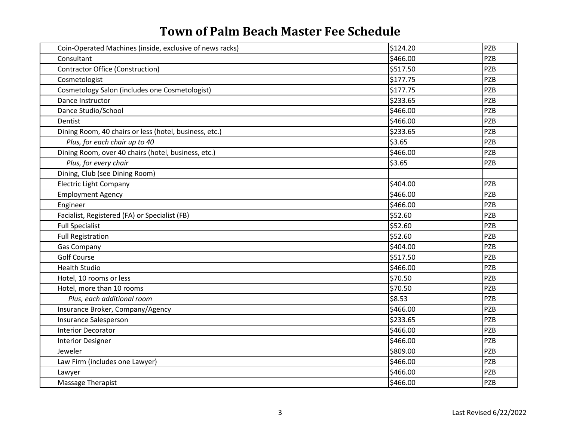| Coin-Operated Machines (inside, exclusive of news racks) | \$124.20 | PZB        |
|----------------------------------------------------------|----------|------------|
| Consultant                                               | \$466.00 | PZB        |
| <b>Contractor Office (Construction)</b>                  | \$517.50 | <b>PZB</b> |
| Cosmetologist                                            | \$177.75 | PZB        |
| Cosmetology Salon (includes one Cosmetologist)           | \$177.75 | PZB        |
| Dance Instructor                                         | \$233.65 | PZB        |
| Dance Studio/School                                      | \$466.00 | PZB        |
| Dentist                                                  | \$466.00 | PZB        |
| Dining Room, 40 chairs or less (hotel, business, etc.)   | \$233.65 | PZB        |
| Plus, for each chair up to 40                            | \$3.65   | PZB        |
| Dining Room, over 40 chairs (hotel, business, etc.)      | \$466.00 | PZB        |
| Plus, for every chair                                    | \$3.65   | PZB        |
| Dining, Club (see Dining Room)                           |          |            |
| <b>Electric Light Company</b>                            | \$404.00 | PZB        |
| <b>Employment Agency</b>                                 | \$466.00 | PZB        |
| Engineer                                                 | \$466.00 | <b>PZB</b> |
| Facialist, Registered (FA) or Specialist (FB)            | \$52.60  | PZB        |
| <b>Full Specialist</b>                                   | \$52.60  | <b>PZB</b> |
| <b>Full Registration</b>                                 | \$52.60  | PZB        |
| <b>Gas Company</b>                                       | \$404.00 | PZB        |
| <b>Golf Course</b>                                       | \$517.50 | PZB        |
| <b>Health Studio</b>                                     | \$466.00 | <b>PZB</b> |
| Hotel, 10 rooms or less                                  | \$70.50  | PZB        |
| Hotel, more than 10 rooms                                | \$70.50  | PZB        |
| Plus, each additional room                               | \$8.53   | PZB        |
| Insurance Broker, Company/Agency                         | \$466.00 | <b>PZB</b> |
| Insurance Salesperson                                    | \$233.65 | PZB        |
| <b>Interior Decorator</b>                                | \$466.00 | <b>PZB</b> |
| <b>Interior Designer</b>                                 | \$466.00 | PZB        |
| Jeweler                                                  | \$809.00 | PZB        |
| Law Firm (includes one Lawyer)                           | \$466.00 | PZB        |
| Lawyer                                                   | \$466.00 | PZB        |
| Massage Therapist                                        | \$466.00 | PZB        |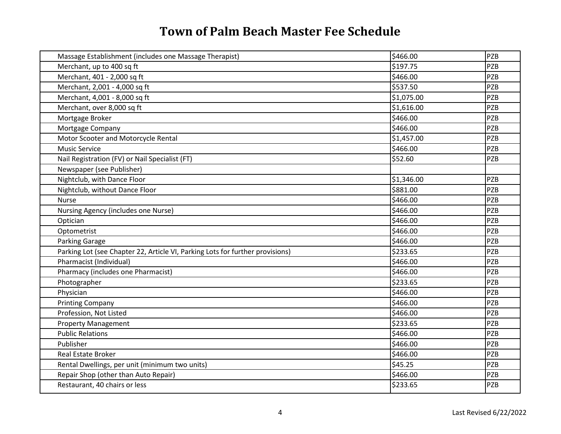| Massage Establishment (includes one Massage Therapist)                        | \$466.00   | PZB        |
|-------------------------------------------------------------------------------|------------|------------|
| Merchant, up to 400 sq ft                                                     | \$197.75   | <b>PZB</b> |
| Merchant, 401 - 2,000 sq ft                                                   | \$466.00   | <b>PZB</b> |
| Merchant, 2,001 - 4,000 sq ft                                                 | \$537.50   | PZB        |
| Merchant, 4,001 - 8,000 sq ft                                                 | \$1,075.00 | <b>PZB</b> |
| Merchant, over 8,000 sq ft                                                    | \$1,616.00 | PZB        |
| Mortgage Broker                                                               | \$466.00   | <b>PZB</b> |
| Mortgage Company                                                              | \$466.00   | <b>PZB</b> |
| Motor Scooter and Motorcycle Rental                                           | \$1,457.00 | <b>PZB</b> |
| <b>Music Service</b>                                                          | \$466.00   | <b>PZB</b> |
| Nail Registration (FV) or Nail Specialist (FT)                                | \$52.60    | <b>PZB</b> |
| Newspaper (see Publisher)                                                     |            |            |
| Nightclub, with Dance Floor                                                   | \$1,346.00 | <b>PZB</b> |
| Nightclub, without Dance Floor                                                | \$881.00   | <b>PZB</b> |
| <b>Nurse</b>                                                                  | \$466.00   | <b>PZB</b> |
| Nursing Agency (includes one Nurse)                                           | \$466.00   | <b>PZB</b> |
| Optician                                                                      | \$466.00   | <b>PZB</b> |
| Optometrist                                                                   | \$466.00   | <b>PZB</b> |
| <b>Parking Garage</b>                                                         | \$466.00   | <b>PZB</b> |
| Parking Lot (see Chapter 22, Article VI, Parking Lots for further provisions) | \$233.65   | <b>PZB</b> |
| Pharmacist (Individual)                                                       | \$466.00   | PZB        |
| Pharmacy (includes one Pharmacist)                                            | \$466.00   | <b>PZB</b> |
| Photographer                                                                  | \$233.65   | <b>PZB</b> |
| Physician                                                                     | \$466.00   | <b>PZB</b> |
| <b>Printing Company</b>                                                       | \$466.00   | PZB        |
| Profession, Not Listed                                                        | \$466.00   | PZB        |
| <b>Property Management</b>                                                    | \$233.65   | <b>PZB</b> |
| <b>Public Relations</b>                                                       | \$466.00   | <b>PZB</b> |
| Publisher                                                                     | \$466.00   | <b>PZB</b> |
| <b>Real Estate Broker</b>                                                     | \$466.00   | PZB        |
| Rental Dwellings, per unit (minimum two units)                                | \$45.25    | PZB        |
| Repair Shop (other than Auto Repair)                                          | \$466.00   | <b>PZB</b> |
| Restaurant, 40 chairs or less                                                 | \$233.65   | <b>PZB</b> |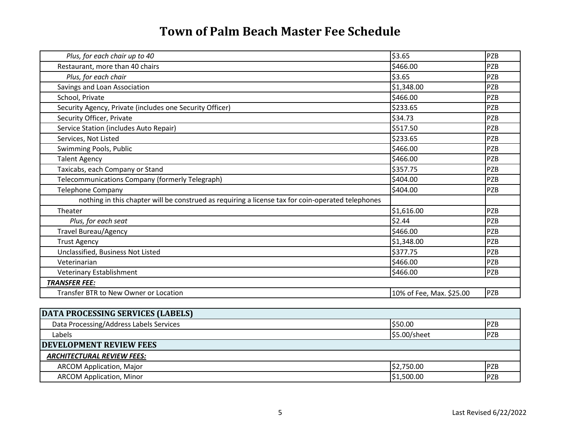| Plus, for each chair up to 40                                                                     | \$3.65                   | PZB        |
|---------------------------------------------------------------------------------------------------|--------------------------|------------|
| Restaurant, more than 40 chairs                                                                   | \$466.00                 | <b>PZB</b> |
| Plus, for each chair                                                                              | \$3.65                   | <b>PZB</b> |
| Savings and Loan Association                                                                      | \$1,348.00               | <b>PZB</b> |
| School, Private                                                                                   | \$466.00                 | PZB        |
| Security Agency, Private (includes one Security Officer)                                          | \$233.65                 | PZB        |
| Security Officer, Private                                                                         | \$34.73                  | <b>PZB</b> |
| Service Station (includes Auto Repair)                                                            | \$517.50                 | <b>PZB</b> |
| Services, Not Listed                                                                              | \$233.65                 | <b>PZB</b> |
| Swimming Pools, Public                                                                            | \$466.00                 | <b>PZB</b> |
| <b>Talent Agency</b>                                                                              | \$466.00                 | <b>PZB</b> |
| Taxicabs, each Company or Stand                                                                   | \$357.75                 | PZB        |
| Telecommunications Company (formerly Telegraph)                                                   | \$404.00                 | PZB        |
| <b>Telephone Company</b>                                                                          | \$404.00                 | <b>PZB</b> |
| nothing in this chapter will be construed as requiring a license tax for coin-operated telephones |                          |            |
| Theater                                                                                           | \$1,616.00               | <b>PZB</b> |
| Plus, for each seat                                                                               | \$2.44                   | <b>PZB</b> |
| <b>Travel Bureau/Agency</b>                                                                       | \$466.00                 | <b>PZB</b> |
| <b>Trust Agency</b>                                                                               | \$1,348.00               | <b>PZB</b> |
| Unclassified, Business Not Listed                                                                 | \$377.75                 | <b>PZB</b> |
| Veterinarian                                                                                      | \$466.00                 | <b>PZB</b> |
| Veterinary Establishment                                                                          | \$466.00                 | PZB        |
| <b>TRANSFER FEE:</b>                                                                              |                          |            |
| Transfer BTR to New Owner or Location                                                             | 10% of Fee, Max. \$25.00 | PZB        |

| DATA PROCESSING SERVICES (LABELS)       |              |             |
|-----------------------------------------|--------------|-------------|
| Data Processing/Address Labels Services | \$50.00      | <b>PZB</b>  |
| Labels                                  | \$5.00/sheet | PZB         |
| <b>DEVELOPMENT REVIEW FEES</b>          |              |             |
| <b>ARCHITECTURAL REVIEW FEES:</b>       |              |             |
| <b>ARCOM Application, Major</b>         | \$2,750.00   | <b>PZB</b>  |
| <b>ARCOM Application, Minor</b>         | \$1,500.00   | <b>IPZB</b> |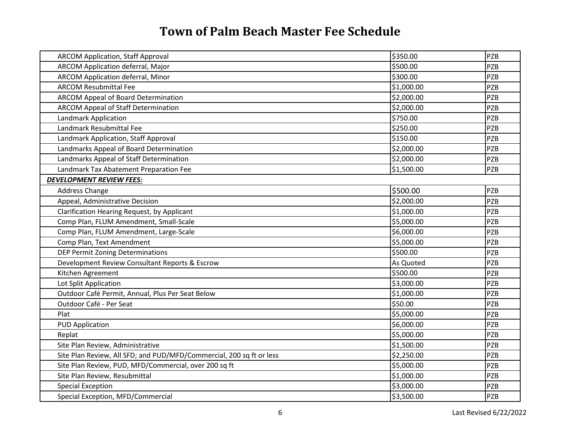| <b>ARCOM Application, Staff Approval</b>                             | \$350.00   | <b>PZB</b> |
|----------------------------------------------------------------------|------------|------------|
| ARCOM Application deferral, Major                                    | \$500.00   | <b>PZB</b> |
| ARCOM Application deferral, Minor                                    | \$300.00   | <b>PZB</b> |
| <b>ARCOM Resubmittal Fee</b>                                         | \$1,000.00 | <b>PZB</b> |
| <b>ARCOM Appeal of Board Determination</b>                           | \$2,000.00 | <b>PZB</b> |
| <b>ARCOM Appeal of Staff Determination</b>                           | \$2,000.00 | <b>PZB</b> |
| <b>Landmark Application</b>                                          | \$750.00   | <b>PZB</b> |
| Landmark Resubmittal Fee                                             | \$250.00   | <b>PZB</b> |
| Landmark Application, Staff Approval                                 | \$150.00   | <b>PZB</b> |
| Landmarks Appeal of Board Determination                              | \$2,000.00 | <b>PZB</b> |
| Landmarks Appeal of Staff Determination                              | \$2,000.00 | <b>PZB</b> |
| Landmark Tax Abatement Preparation Fee                               | \$1,500.00 | <b>PZB</b> |
| <b>DEVELOPMENT REVIEW FEES:</b>                                      |            |            |
| <b>Address Change</b>                                                | \$500.00   | <b>PZB</b> |
| Appeal, Administrative Decision                                      | \$2,000.00 | <b>PZB</b> |
| Clarification Hearing Request, by Applicant                          | \$1,000.00 | <b>PZB</b> |
| Comp Plan, FLUM Amendment, Small-Scale                               | \$5,000.00 | <b>PZB</b> |
| Comp Plan, FLUM Amendment, Large-Scale                               | \$6,000.00 | <b>PZB</b> |
| Comp Plan, Text Amendment                                            | \$5,000.00 | PZB        |
| DEP Permit Zoning Determinations                                     | \$500.00   | <b>PZB</b> |
| Development Review Consultant Reports & Escrow                       | As Quoted  | <b>PZB</b> |
| Kitchen Agreement                                                    | \$500.00   | <b>PZB</b> |
| Lot Split Application                                                | \$3,000.00 | <b>PZB</b> |
| Outdoor Café Permit, Annual, Plus Per Seat Below                     | \$1,000.00 | <b>PZB</b> |
| Outdoor Café - Per Seat                                              | \$50.00    | PZB        |
| Plat                                                                 | \$5,000.00 | <b>PZB</b> |
| <b>PUD Application</b>                                               | \$6,000.00 | PZB        |
| Replat                                                               | \$5,000.00 | PZB        |
| Site Plan Review, Administrative                                     | \$1,500.00 | PZB        |
| Site Plan Review, All SFD; and PUD/MFD/Commercial, 200 sq ft or less | \$2,250.00 | PZB        |
| Site Plan Review, PUD, MFD/Commercial, over 200 sq ft                | \$5,000.00 | <b>PZB</b> |
| Site Plan Review, Resubmittal                                        | \$1,000.00 | PZB        |
| <b>Special Exception</b>                                             | \$3,000.00 | <b>PZB</b> |
| Special Exception, MFD/Commercial                                    | \$3,500.00 | PZB        |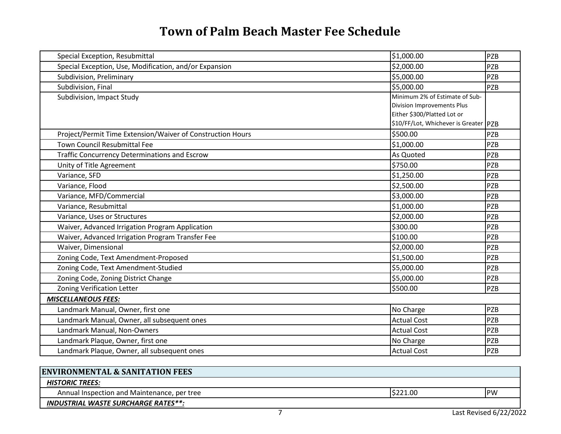| Special Exception, Resubmittal                             | \$1,000.00                            | PZB        |
|------------------------------------------------------------|---------------------------------------|------------|
| Special Exception, Use, Modification, and/or Expansion     | \$2,000.00                            | <b>PZB</b> |
| Subdivision, Preliminary                                   | \$5,000.00                            | <b>PZB</b> |
| Subdivision, Final                                         | \$5,000.00                            | <b>PZB</b> |
| Subdivision, Impact Study                                  | Minimum 2% of Estimate of Sub-        |            |
|                                                            | Division Improvements Plus            |            |
|                                                            | Either \$300/Platted Lot or           |            |
|                                                            | \$10/FF/Lot, Whichever is Greater PZB |            |
| Project/Permit Time Extension/Waiver of Construction Hours | \$500.00                              | <b>PZB</b> |
| <b>Town Council Resubmittal Fee</b>                        | \$1,000.00                            | <b>PZB</b> |
| <b>Traffic Concurrency Determinations and Escrow</b>       | As Quoted                             | <b>PZB</b> |
| Unity of Title Agreement                                   | \$750.00                              | <b>PZB</b> |
| Variance, SFD                                              | \$1,250.00                            | <b>PZB</b> |
| Variance, Flood                                            | \$2,500.00                            | <b>PZB</b> |
| Variance, MFD/Commercial                                   | \$3,000.00                            | <b>PZB</b> |
| Variance, Resubmittal                                      | \$1,000.00                            | <b>PZB</b> |
| Variance, Uses or Structures                               | \$2,000.00                            | <b>PZB</b> |
| Waiver, Advanced Irrigation Program Application            | \$300.00                              | <b>PZB</b> |
| Waiver, Advanced Irrigation Program Transfer Fee           | \$100.00                              | <b>PZB</b> |
| Waiver, Dimensional                                        | \$2,000.00                            | <b>PZB</b> |
| Zoning Code, Text Amendment-Proposed                       | \$1,500.00                            | <b>PZB</b> |
| Zoning Code, Text Amendment-Studied                        | \$5,000.00                            | <b>PZB</b> |
| Zoning Code, Zoning District Change                        | \$5,000.00                            | <b>PZB</b> |
| <b>Zoning Verification Letter</b>                          | \$500.00                              | <b>PZB</b> |
| <b>MISCELLANEOUS FEES:</b>                                 |                                       |            |
| Landmark Manual, Owner, first one                          | No Charge                             | <b>PZB</b> |
| Landmark Manual, Owner, all subsequent ones                | <b>Actual Cost</b>                    | <b>PZB</b> |
| Landmark Manual, Non-Owners                                | <b>Actual Cost</b>                    | <b>PZB</b> |
| Landmark Plaque, Owner, first one                          | No Charge                             | <b>PZB</b> |
| Landmark Plaque, Owner, all subsequent ones                | <b>Actual Cost</b>                    | PZB        |

| <b>ENVIRONMENTAL &amp; SANITATION FEES</b>  |          |                        |
|---------------------------------------------|----------|------------------------|
| <b>HISTORIC TREES:</b>                      |          |                        |
| Annual Inspection and Maintenance, per tree | \$221.00 | IPW                    |
| <b>INDUSTRIAL WASTE SURCHARGE RATES**:</b>  |          |                        |
|                                             |          | Last Revised 6/22/2022 |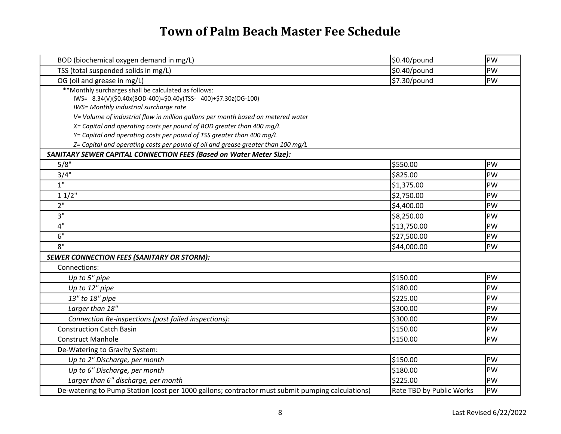| BOD (biochemical oxygen demand in mg/L)                                                                                                                           | \$0.40/pound             | PW        |
|-------------------------------------------------------------------------------------------------------------------------------------------------------------------|--------------------------|-----------|
| TSS (total suspended solids in mg/L)                                                                                                                              | \$0.40/pound             | PW        |
| OG (oil and grease in mg/L)                                                                                                                                       | \$7.30/pound             | PW        |
| **Monthly surcharges shall be calculated as follows:<br>IWS= 8.34(V)(\$0.40x(BOD-400)=\$0.40y(TSS- 400)+\$7.30z(OG-100)<br>IWS= Monthly industrial surcharge rate |                          |           |
| V= Volume of industrial flow in million gallons per month based on metered water<br>X= Capital and operating costs per pound of BOD greater than 400 mg/L         |                          |           |
| Y= Capital and operating costs per pound of TSS greater than 400 mg/L                                                                                             |                          |           |
| Z= Capital and operating costs per pound of oil and grease greater than 100 mg/L                                                                                  |                          |           |
| SANITARY SEWER CAPITAL CONNECTION FEES (Based on Water Meter Size):                                                                                               |                          |           |
| 5/8"                                                                                                                                                              | \$550.00                 | PW        |
| 3/4"                                                                                                                                                              | \$825.00                 | PW        |
| $\overline{1}$ "                                                                                                                                                  | \$1,375.00               | PW        |
| 11/2"                                                                                                                                                             | \$2,750.00               | PW        |
| 2"                                                                                                                                                                | \$4,400.00               | PW        |
| 3"                                                                                                                                                                | \$8,250.00               | PW        |
| 4"                                                                                                                                                                | \$13,750.00              | PW        |
| 6"                                                                                                                                                                | \$27,500.00              | PW        |
| 8"                                                                                                                                                                | \$44,000.00              | PW        |
| <b>SEWER CONNECTION FEES (SANITARY OR STORM):</b>                                                                                                                 |                          |           |
| Connections:                                                                                                                                                      |                          |           |
| Up to 5" pipe                                                                                                                                                     | \$150.00                 | <b>PW</b> |
| Up to 12" pipe                                                                                                                                                    | \$180.00                 | PW        |
| 13" to 18" pipe                                                                                                                                                   | \$225.00                 | PW        |
| Larger than 18"                                                                                                                                                   | \$300.00                 | PW        |
| Connection Re-inspections (post failed inspections):                                                                                                              | \$300.00                 | PW        |
| <b>Construction Catch Basin</b>                                                                                                                                   | \$150.00                 | PW        |
| <b>Construct Manhole</b>                                                                                                                                          | \$150.00                 | PW        |
| De-Watering to Gravity System:                                                                                                                                    |                          |           |
| Up to 2" Discharge, per month                                                                                                                                     | \$150.00                 | PW        |
| Up to 6" Discharge, per month                                                                                                                                     | \$180.00                 | PW        |
| Larger than 6" discharge, per month                                                                                                                               | \$225.00                 | PW        |
| De-watering to Pump Station (cost per 1000 gallons; contractor must submit pumping calculations)                                                                  | Rate TBD by Public Works | PW        |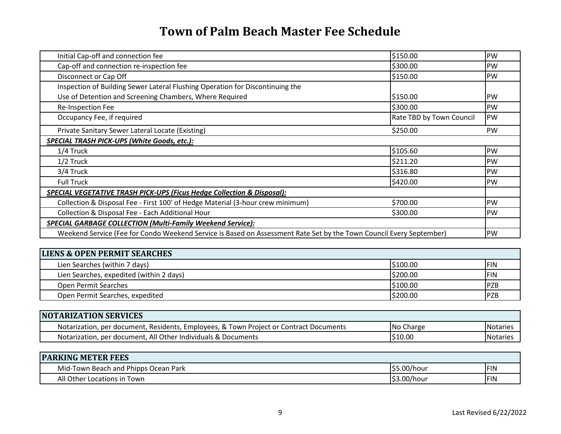| Initial Cap-off and connection fee                                                                                  | \$150.00                 | <b>PW</b>  |
|---------------------------------------------------------------------------------------------------------------------|--------------------------|------------|
| Cap-off and connection re-inspection fee                                                                            | \$300.00                 | <b>IPW</b> |
| Disconnect or Cap Off                                                                                               | \$150.00                 | <b>IPW</b> |
| Inspection of Building Sewer Lateral Flushing Operation for Discontinuing the                                       |                          |            |
| Use of Detention and Screening Chambers, Where Required                                                             | \$150.00                 | <b>IPW</b> |
| <b>Re-Inspection Fee</b>                                                                                            | \$300.00                 | <b>IPW</b> |
| Occupancy Fee, if required                                                                                          | Rate TBD by Town Council | <b>PW</b>  |
| Private Sanitary Sewer Lateral Locate (Existing)                                                                    | \$250.00                 | <b>PW</b>  |
| SPECIAL TRASH PICK-UPS (White Goods, etc.):                                                                         |                          |            |
| 1/4 Truck                                                                                                           | \$105.60                 | PW         |
| $1/2$ Truck                                                                                                         | \$211.20                 | <b>PW</b>  |
| 3/4 Truck                                                                                                           | \$316.80                 | <b>PW</b>  |
| <b>Full Truck</b>                                                                                                   | \$420.00                 | <b>PW</b>  |
| SPECIAL VEGETATIVE TRASH PICK-UPS (Ficus Hedge Collection & Disposal):                                              |                          |            |
| Collection & Disposal Fee - First 100' of Hedge Material (3-hour crew minimum)                                      | \$700.00                 | <b>PW</b>  |
| Collection & Disposal Fee - Each Additional Hour                                                                    | \$300.00                 | <b>PW</b>  |
| <b>SPECIAL GARBAGE COLLECTION (Multi-Family Weekend Service):</b>                                                   |                          |            |
| Weekend Service (Fee for Condo Weekend Service is Based on Assessment Rate Set by the Town Council Every September) |                          | <b>PW</b>  |

| <b>LIENS &amp; OPEN PERMIT SEARCHES</b>  |          |             |
|------------------------------------------|----------|-------------|
| Lien Searches (within 7 days)            | 5100.00  | <b>IFIN</b> |
| Lien Searches, expedited (within 2 days) | \$200.00 | <b>IFIN</b> |
| <b>Open Permit Searches</b>              | \$100.00 | <b>PZB</b>  |
| Open Permit Searches, expedited          | \$200.00 | <b>IPZB</b> |

| <b>NOTARIZATION SERVICES</b>                                                           |           |           |
|----------------------------------------------------------------------------------------|-----------|-----------|
| Notarization, per document, Residents, Employees, & Town Project or Contract Documents | No Charge | "Notaries |
| Notarization, per document, All Other Individuals & Documents                          | IS10.00   | INotarie: |

| <b>PARKING METER FEES</b>            |             |     |
|--------------------------------------|-------------|-----|
| Mid-Town Beach and Phipps Ocean Park | \$5.00/hour | FIN |
| All Other'<br>Locations in Town      | \$3.00/hour | FIN |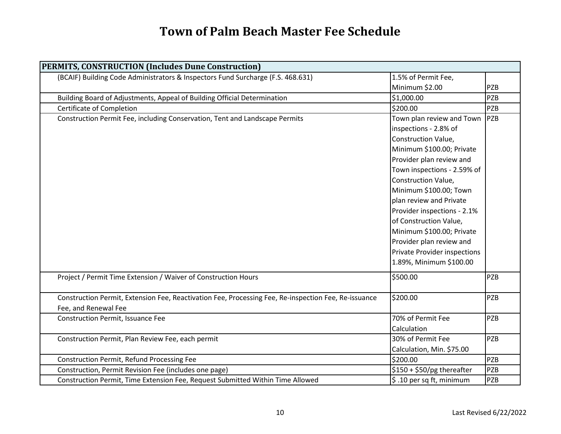| PERMITS, CONSTRUCTION (Includes Dune Construction)                                                   |                                     |            |
|------------------------------------------------------------------------------------------------------|-------------------------------------|------------|
| (BCAIF) Building Code Administrators & Inspectors Fund Surcharge (F.S. 468.631)                      | 1.5% of Permit Fee,                 |            |
|                                                                                                      | Minimum \$2.00                      | <b>PZB</b> |
| Building Board of Adjustments, Appeal of Building Official Determination                             | \$1,000.00                          | <b>PZB</b> |
| Certificate of Completion                                                                            | \$200.00                            | <b>PZB</b> |
| Construction Permit Fee, including Conservation, Tent and Landscape Permits                          | Town plan review and Town           | PZB        |
|                                                                                                      | inspections - 2.8% of               |            |
|                                                                                                      | Construction Value,                 |            |
|                                                                                                      | Minimum \$100.00; Private           |            |
|                                                                                                      | Provider plan review and            |            |
|                                                                                                      | Town inspections - 2.59% of         |            |
|                                                                                                      | Construction Value,                 |            |
|                                                                                                      | Minimum \$100.00; Town              |            |
|                                                                                                      | plan review and Private             |            |
|                                                                                                      | Provider inspections - 2.1%         |            |
|                                                                                                      | of Construction Value,              |            |
|                                                                                                      | Minimum \$100.00; Private           |            |
|                                                                                                      | Provider plan review and            |            |
|                                                                                                      | <b>Private Provider inspections</b> |            |
|                                                                                                      | 1.89%, Minimum \$100.00             |            |
| Project / Permit Time Extension / Waiver of Construction Hours                                       | \$500.00                            | <b>PZB</b> |
| Construction Permit, Extension Fee, Reactivation Fee, Processing Fee, Re-inspection Fee, Re-issuance | \$200.00                            | PZB        |
| Fee, and Renewal Fee                                                                                 |                                     |            |
| <b>Construction Permit, Issuance Fee</b>                                                             | 70% of Permit Fee                   | <b>PZB</b> |
|                                                                                                      | Calculation                         |            |
| Construction Permit, Plan Review Fee, each permit                                                    | 30% of Permit Fee                   | <b>PZB</b> |
|                                                                                                      | Calculation, Min. \$75.00           |            |
| <b>Construction Permit, Refund Processing Fee</b>                                                    | \$200.00                            | <b>PZB</b> |
| Construction, Permit Revision Fee (includes one page)                                                | \$150 + \$50/pg thereafter          | <b>PZB</b> |
| Construction Permit, Time Extension Fee, Request Submitted Within Time Allowed                       | \$.10 per sq ft, minimum            | PZB        |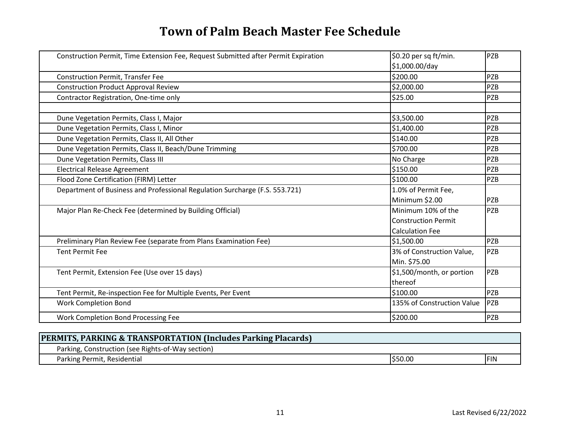| Construction Permit, Time Extension Fee, Request Submitted after Permit Expiration | \$0.20 per sq ft/min.<br>\$1,000.00/day | PZB        |
|------------------------------------------------------------------------------------|-----------------------------------------|------------|
| <b>Construction Permit, Transfer Fee</b>                                           | \$200.00                                | <b>PZB</b> |
| <b>Construction Product Approval Review</b>                                        | \$2,000.00                              | <b>PZB</b> |
| Contractor Registration, One-time only                                             | \$25.00                                 | <b>PZB</b> |
| Dune Vegetation Permits, Class I, Major                                            | \$3,500.00                              | <b>PZB</b> |
| Dune Vegetation Permits, Class I, Minor                                            | \$1,400.00                              | <b>PZB</b> |
| Dune Vegetation Permits, Class II, All Other                                       | \$140.00                                | <b>PZB</b> |
| Dune Vegetation Permits, Class II, Beach/Dune Trimming                             | \$700.00                                | <b>PZB</b> |
| Dune Vegetation Permits, Class III                                                 | No Charge                               | PZB        |
| <b>Electrical Release Agreement</b>                                                | \$150.00                                | PZB        |
| Flood Zone Certification (FIRM) Letter                                             | \$100.00                                | <b>PZB</b> |
| Department of Business and Professional Regulation Surcharge (F.S. 553.721)        | 1.0% of Permit Fee,                     |            |
|                                                                                    | Minimum \$2.00                          | PZB        |
| Major Plan Re-Check Fee (determined by Building Official)                          | Minimum 10% of the                      | PZB        |
|                                                                                    | <b>Construction Permit</b>              |            |
|                                                                                    | <b>Calculation Fee</b>                  |            |
| Preliminary Plan Review Fee (separate from Plans Examination Fee)                  | \$1,500.00                              | <b>PZB</b> |
| <b>Tent Permit Fee</b>                                                             | 3% of Construction Value,               | <b>PZB</b> |
|                                                                                    | Min. \$75.00                            |            |
| Tent Permit, Extension Fee (Use over 15 days)                                      | \$1,500/month, or portion               | PZB        |
|                                                                                    | thereof                                 |            |
| Tent Permit, Re-inspection Fee for Multiple Events, Per Event                      | \$100.00                                | <b>PZB</b> |
| <b>Work Completion Bond</b>                                                        | 135% of Construction Value              | <b>PZB</b> |
| Work Completion Bond Processing Fee                                                | \$200.00                                | <b>PZB</b> |

| <b>PERMITS, PARKING &amp; TRANSPORTATION (Includes Parking Placards)</b> |        |             |
|--------------------------------------------------------------------------|--------|-------------|
| Parking, Construction (see Rights-of-Way section)                        |        |             |
| Parking Permit, Residential                                              | 550.00 | <b>IFIN</b> |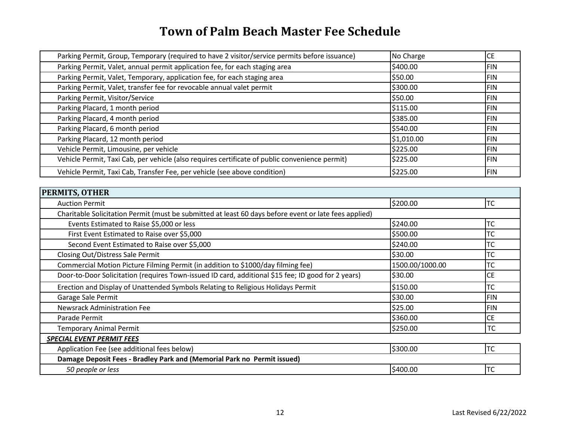| Parking Permit, Group, Temporary (required to have 2 visitor/service permits before issuance)  | No Charge  | <b>CE</b> |
|------------------------------------------------------------------------------------------------|------------|-----------|
| Parking Permit, Valet, annual permit application fee, for each staging area                    | \$400.00   | IFIN      |
| Parking Permit, Valet, Temporary, application fee, for each staging area                       | \$50.00    | IFIN      |
| Parking Permit, Valet, transfer fee for revocable annual valet permit                          | \$300.00   | IFIN      |
| Parking Permit, Visitor/Service                                                                | \$50.00    | IFIN      |
| Parking Placard, 1 month period                                                                | \$115.00   | IFIN      |
| Parking Placard, 4 month period                                                                | \$385.00   | IFIN      |
| Parking Placard, 6 month period                                                                | \$540.00   | IFIN      |
| Parking Placard, 12 month period                                                               | \$1,010.00 | IFIN      |
| Vehicle Permit, Limousine, per vehicle                                                         | \$225.00   | IFIN      |
| Vehicle Permit, Taxi Cab, per vehicle (also requires certificate of public convenience permit) | \$225.00   | IFIN      |
| Vehicle Permit, Taxi Cab, Transfer Fee, per vehicle (see above condition)                      | \$225.00   | IFIN      |

| <b>PERMITS, OTHER</b>                                                                                 |                 |            |
|-------------------------------------------------------------------------------------------------------|-----------------|------------|
| <b>Auction Permit</b>                                                                                 | \$200.00        | <b>TC</b>  |
| Charitable Solicitation Permit (must be submitted at least 60 days before event or late fees applied) |                 |            |
| Events Estimated to Raise \$5,000 or less                                                             | \$240.00        | <b>TC</b>  |
| First Event Estimated to Raise over \$5,000                                                           | \$500.00        | <b>TC</b>  |
| Second Event Estimated to Raise over \$5,000                                                          | \$240.00        | ТC         |
| Closing Out/Distress Sale Permit                                                                      | \$30.00         | <b>TC</b>  |
| Commercial Motion Picture Filming Permit (in addition to \$1000/day filming fee)                      | 1500.00/1000.00 | <b>TC</b>  |
| Door-to-Door Solicitation (requires Town-issued ID card, additional \$15 fee; ID good for 2 years)    | \$30.00         | <b>CE</b>  |
| Erection and Display of Unattended Symbols Relating to Religious Holidays Permit                      | \$150.00        | <b>TC</b>  |
| Garage Sale Permit                                                                                    | \$30.00         | <b>FIN</b> |
| Newsrack Administration Fee                                                                           | \$25.00         | <b>FIN</b> |
| Parade Permit                                                                                         | \$360.00        | <b>CE</b>  |
| <b>Temporary Animal Permit</b>                                                                        | \$250.00        | <b>TC</b>  |
| <b>SPECIAL EVENT PERMIT FEES</b>                                                                      |                 |            |
| Application Fee (see additional fees below)                                                           | \$300.00        | <b>TC</b>  |
| Damage Deposit Fees - Bradley Park and (Memorial Park no Permit issued)                               |                 |            |
| 50 people or less                                                                                     | \$400.00        | <b>TC</b>  |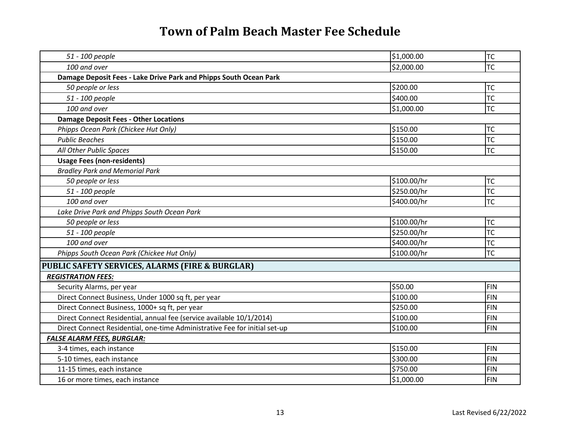| 51 - 100 people                                                            | \$1,000.00  | <b>TC</b>  |
|----------------------------------------------------------------------------|-------------|------------|
| 100 and over                                                               | \$2,000.00  | <b>TC</b>  |
| Damage Deposit Fees - Lake Drive Park and Phipps South Ocean Park          |             |            |
| 50 people or less                                                          | \$200.00    | <b>TC</b>  |
| 51 - 100 people                                                            | \$400.00    | <b>TC</b>  |
| 100 and over                                                               | \$1,000.00  | <b>TC</b>  |
| <b>Damage Deposit Fees - Other Locations</b>                               |             |            |
| Phipps Ocean Park (Chickee Hut Only)                                       | \$150.00    | <b>TC</b>  |
| <b>Public Beaches</b>                                                      | \$150.00    | <b>TC</b>  |
| All Other Public Spaces                                                    | \$150.00    | TC         |
| <b>Usage Fees (non-residents)</b>                                          |             |            |
| <b>Bradley Park and Memorial Park</b>                                      |             |            |
| 50 people or less                                                          | \$100.00/hr | <b>TC</b>  |
| 51 - 100 people                                                            | \$250.00/hr | <b>TC</b>  |
| 100 and over                                                               | \$400.00/hr | <b>TC</b>  |
| Lake Drive Park and Phipps South Ocean Park                                |             |            |
| 50 people or less                                                          | \$100.00/hr | <b>TC</b>  |
| 51 - 100 people                                                            | \$250.00/hr | <b>TC</b>  |
| 100 and over                                                               | \$400.00/hr | <b>TC</b>  |
| Phipps South Ocean Park (Chickee Hut Only)                                 | \$100.00/hr | <b>TC</b>  |
| PUBLIC SAFETY SERVICES, ALARMS (FIRE & BURGLAR)                            |             |            |
| <b>REGISTRATION FEES:</b>                                                  |             |            |
| Security Alarms, per year                                                  | \$50.00     | <b>FIN</b> |
| Direct Connect Business, Under 1000 sq ft, per year                        | \$100.00    | <b>FIN</b> |
| Direct Connect Business, 1000+ sq ft, per year                             | \$250.00    | <b>FIN</b> |
| Direct Connect Residential, annual fee (service available 10/1/2014)       | \$100.00    | <b>FIN</b> |
| Direct Connect Residential, one-time Administrative Fee for initial set-up | \$100.00    | <b>FIN</b> |
| <b>FALSE ALARM FEES, BURGLAR:</b>                                          |             |            |
| 3-4 times, each instance                                                   | \$150.00    | <b>FIN</b> |
| 5-10 times, each instance                                                  | \$300.00    | <b>FIN</b> |
| 11-15 times, each instance                                                 | \$750.00    | <b>FIN</b> |
| 16 or more times, each instance                                            | \$1,000.00  | <b>FIN</b> |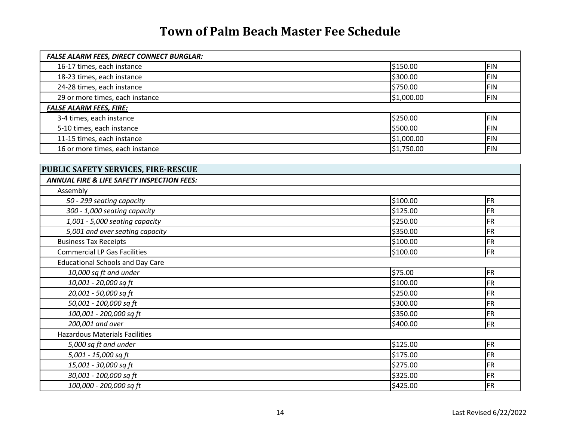| <b>FALSE ALARM FEES, DIRECT CONNECT BURGLAR:</b> |            |            |
|--------------------------------------------------|------------|------------|
| 16-17 times, each instance                       | \$150.00   | <b>FIN</b> |
| 18-23 times, each instance                       | \$300.00   | <b>FIN</b> |
| 24-28 times, each instance                       | \$750.00   | <b>FIN</b> |
| 29 or more times, each instance                  | \$1,000.00 | <b>FIN</b> |
| <b>FALSE ALARM FEES, FIRE:</b>                   |            |            |
| 3-4 times, each instance                         | \$250.00   | <b>FIN</b> |
| 5-10 times, each instance                        | \$500.00   | <b>FIN</b> |
| 11-15 times, each instance                       | \$1,000.00 | <b>FIN</b> |
| 16 or more times, each instance                  | \$1,750.00 | <b>FIN</b> |
|                                                  |            |            |
| PUBLIC SAFETY SERVICES, FIRE-RESCUE              |            |            |
| ANNUAL FIRE & LIFE SAFETY INSPECTION FEES:       |            |            |
| Assembly                                         |            |            |
| 50 - 299 seating capacity                        | \$100.00   | FR         |
| 300 - 1,000 seating capacity                     | \$125.00   | FR         |
| 1,001 - 5,000 seating capacity                   | \$250.00   | <b>FR</b>  |
| 5,001 and over seating capacity                  | \$350.00   | <b>FR</b>  |
| <b>Business Tax Receipts</b>                     | \$100.00   | <b>FR</b>  |
| <b>Commercial LP Gas Facilities</b>              | \$100.00   | FR         |
| <b>Educational Schools and Day Care</b>          |            |            |
| 10,000 sq ft and under                           | \$75.00    | FR         |
| 10,001 - 20,000 sq ft                            | \$100.00   | <b>FR</b>  |
| 20,001 - 50,000 sq ft                            | \$250.00   | FR         |
| 50,001 - 100,000 sq ft                           | \$300.00   | FR         |
| 100,001 - 200,000 sq ft                          | \$350.00   | <b>FR</b>  |
| 200,001 and over                                 | \$400.00   | <b>FR</b>  |
| <b>Hazardous Materials Facilities</b>            |            |            |
| 5,000 sq ft and under                            | \$125.00   | FR         |
| 5,001 - 15,000 sq ft                             | \$175.00   | <b>FR</b>  |
| 15,001 - 30,000 sq ft                            | \$275.00   | FR         |
| 30,001 - 100,000 sq ft                           | \$325.00   | <b>FR</b>  |
| 100,000 - 200,000 sq ft                          | \$425.00   | FR         |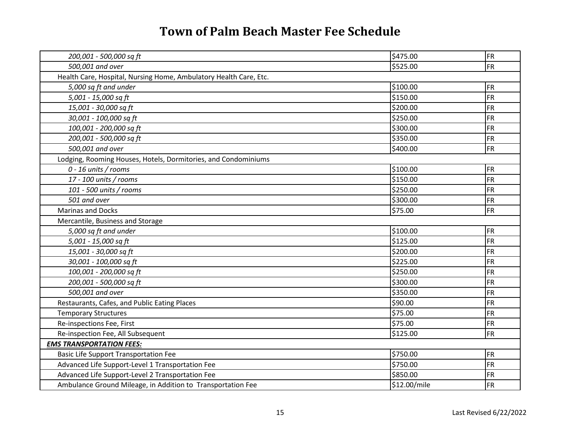| 200,001 - 500,000 sq ft                                           | \$475.00     | <b>FR</b> |
|-------------------------------------------------------------------|--------------|-----------|
| 500,001 and over                                                  | \$525.00     | <b>FR</b> |
| Health Care, Hospital, Nursing Home, Ambulatory Health Care, Etc. |              |           |
| 5,000 sq ft and under                                             | \$100.00     | <b>FR</b> |
| 5,001 - 15,000 sq ft                                              | \$150.00     | <b>FR</b> |
| 15,001 - 30,000 sq ft                                             | \$200.00     | <b>FR</b> |
| 30,001 - 100,000 sq ft                                            | \$250.00     | <b>FR</b> |
| 100,001 - 200,000 sq ft                                           | \$300.00     | <b>FR</b> |
| 200,001 - 500,000 sq ft                                           | \$350.00     | <b>FR</b> |
| 500,001 and over                                                  | \$400.00     | <b>FR</b> |
| Lodging, Rooming Houses, Hotels, Dormitories, and Condominiums    |              |           |
| 0 - 16 units / rooms                                              | \$100.00     | <b>FR</b> |
| 17 - 100 units / rooms                                            | \$150.00     | <b>FR</b> |
| 101 - 500 units / rooms                                           | \$250.00     | <b>FR</b> |
| 501 and over                                                      | \$300.00     | <b>FR</b> |
| <b>Marinas and Docks</b>                                          | \$75.00      | <b>FR</b> |
| Mercantile, Business and Storage                                  |              |           |
| 5,000 sq ft and under                                             | \$100.00     | <b>FR</b> |
| 5,001 - 15,000 sq ft                                              | \$125.00     | <b>FR</b> |
| 15,001 - 30,000 sq ft                                             | \$200.00     | <b>FR</b> |
| 30,001 - 100,000 sq ft                                            | \$225.00     | <b>FR</b> |
| 100,001 - 200,000 sq ft                                           | \$250.00     | <b>FR</b> |
| 200,001 - 500,000 sq ft                                           | \$300.00     | <b>FR</b> |
| 500,001 and over                                                  | \$350.00     | <b>FR</b> |
| Restaurants, Cafes, and Public Eating Places                      | \$90.00      | <b>FR</b> |
| <b>Temporary Structures</b>                                       | \$75.00      | <b>FR</b> |
| Re-inspections Fee, First                                         | \$75.00      | <b>FR</b> |
| Re-inspection Fee, All Subsequent                                 | \$125.00     | <b>FR</b> |
| <b>EMS TRANSPORTATION FEES:</b>                                   |              |           |
| <b>Basic Life Support Transportation Fee</b>                      | \$750.00     | <b>FR</b> |
| Advanced Life Support-Level 1 Transportation Fee                  | \$750.00     | <b>FR</b> |
| Advanced Life Support-Level 2 Transportation Fee                  | \$850.00     | <b>FR</b> |
| Ambulance Ground Mileage, in Addition to Transportation Fee       | \$12.00/mile | <b>FR</b> |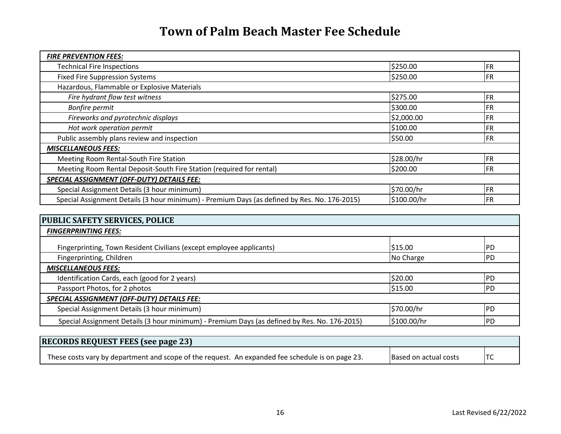| <b>FIRE PREVENTION FEES:</b>                                                                 |             |            |
|----------------------------------------------------------------------------------------------|-------------|------------|
| <b>Technical Fire Inspections</b>                                                            | \$250.00    | <b>FR</b>  |
| <b>Fixed Fire Suppression Systems</b>                                                        | \$250.00    | <b>FR</b>  |
| Hazardous, Flammable or Explosive Materials                                                  |             |            |
| Fire hydrant flow test witness                                                               | \$275.00    | <b>FR</b>  |
| Bonfire permit                                                                               | \$300.00    | <b>FR</b>  |
| Fireworks and pyrotechnic displays                                                           | \$2,000.00  | <b>FR</b>  |
| Hot work operation permit                                                                    | \$100.00    | <b>FR</b>  |
| Public assembly plans review and inspection                                                  | \$50.00     | <b>IFR</b> |
| <b>MISCELLANEOUS FEES:</b>                                                                   |             |            |
| Meeting Room Rental-South Fire Station                                                       | \$28.00/hr  | <b>FR</b>  |
| Meeting Room Rental Deposit-South Fire Station (required for rental)                         | \$200.00    | <b>FR</b>  |
| <b>SPECIAL ASSIGNMENT (OFF-DUTY) DETAILS FEE:</b>                                            |             |            |
| Special Assignment Details (3 hour minimum)                                                  | \$70.00/hr  | <b>FR</b>  |
| Special Assignment Details (3 hour minimum) - Premium Days (as defined by Res. No. 176-2015) | \$100.00/hr | <b>FR</b>  |

| <b>PUBLIC SAFETY SERVICES, POLICE</b>                                                        |             |            |
|----------------------------------------------------------------------------------------------|-------------|------------|
| <b>FINGERPRINTING FEES:</b>                                                                  |             |            |
| Fingerprinting, Town Resident Civilians (except employee applicants)                         | \$15.00     | IPD        |
| Fingerprinting, Children                                                                     | No Charge   | PD         |
| <b>MISCELLANEOUS FEES:</b>                                                                   |             |            |
| Identification Cards, each (good for 2 years)                                                | \$20.00     | <b>PD</b>  |
| Passport Photos, for 2 photos                                                                | \$15.00     | IPD        |
| SPECIAL ASSIGNMENT (OFF-DUTY) DETAILS FEE:                                                   |             |            |
| Special Assignment Details (3 hour minimum)                                                  | \$70.00/hr  | <b>IPD</b> |
| Special Assignment Details (3 hour minimum) - Premium Days (as defined by Res. No. 176-2015) | \$100.00/hr | IPD        |

| <b>RECORDS REQUEST FEES (see page 23)</b>                                                        |                               |  |
|--------------------------------------------------------------------------------------------------|-------------------------------|--|
| These costs vary by department and scope of the request. An expanded fee schedule is on page 23. | <b>IBased on actual costs</b> |  |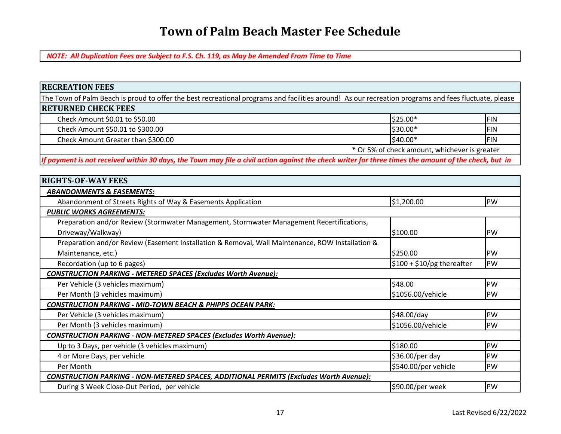*NOTE: All Duplication Fees are Subject to F.S. Ch. 119, as May be Amended From Time to Time*

#### **RECREATION FEES**

The Town of Palm Beach is proud to offer the best recreational programs and facilities around! As our recreation programs and fees fluctuate, please **RETURNED CHECK FEES**

|                                    | * Or 5% of check amount, whichever is greater |           |             |
|------------------------------------|-----------------------------------------------|-----------|-------------|
| Check Amount Greater than \$300.00 |                                               | $$40.00*$ | <b>IFIN</b> |
| Check Amount \$50.01 to \$300.00   |                                               | $$30.00*$ | <b>IFIN</b> |
| Check Amount \$0.01 to \$50.00     |                                               | $$25.00*$ | <b>IFIN</b> |

*If payment is not received within 30 days, the Town may file a civil action against the check writer for three times the amount of the check, but in*

| <b>RIGHTS-OF-WAY FEES</b>                                                                        |                            |           |
|--------------------------------------------------------------------------------------------------|----------------------------|-----------|
| <b>ABANDONMENTS &amp; EASEMENTS:</b>                                                             |                            |           |
| Abandonment of Streets Rights of Way & Easements Application                                     | \$1,200.00                 | PW        |
| <b>PUBLIC WORKS AGREEMENTS:</b>                                                                  |                            |           |
| Preparation and/or Review (Stormwater Management, Stormwater Management Recertifications,        |                            |           |
| Driveway/Walkway)                                                                                | \$100.00                   | IPW       |
| Preparation and/or Review (Easement Installation & Removal, Wall Maintenance, ROW Installation & |                            |           |
| Maintenance, etc.)                                                                               | \$250.00                   | PW        |
| Recordation (up to 6 pages)                                                                      | $$100 + $10/pg$ thereafter | PW        |
| CONSTRUCTION PARKING - METERED SPACES (Excludes Worth Avenue):                                   |                            |           |
| Per Vehicle (3 vehicles maximum)                                                                 | \$48.00                    | <b>PW</b> |
| Per Month (3 vehicles maximum)                                                                   | \$1056.00/vehicle          | <b>PW</b> |
| <b>CONSTRUCTION PARKING - MID-TOWN BEACH &amp; PHIPPS OCEAN PARK:</b>                            |                            |           |
| Per Vehicle (3 vehicles maximum)                                                                 | \$48.00/day                | PW        |
| Per Month (3 vehicles maximum)                                                                   | \$1056.00/vehicle          | PW        |
| CONSTRUCTION PARKING - NON-METERED SPACES (Excludes Worth Avenue):                               |                            |           |
| Up to 3 Days, per vehicle (3 vehicles maximum)                                                   | \$180.00                   | <b>PW</b> |
| 4 or More Days, per vehicle                                                                      | \$36.00/per day            | PW        |
| Per Month                                                                                        | \$540.00/per vehicle       | PW        |
| <u> CONSTRUCTION PARKING - NON-METERED SPACES, ADDITIONAL PERMITS (Excludes Worth Avenue):</u>   |                            |           |
| During 3 Week Close-Out Period, per vehicle                                                      | \$90.00/per week           | PW        |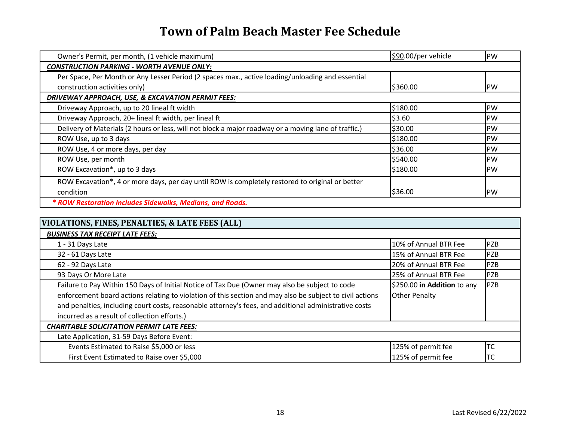| Owner's Permit, per month, (1 vehicle maximum)                                                       | \$90.00/per vehicle | PW         |
|------------------------------------------------------------------------------------------------------|---------------------|------------|
| CONSTRUCTION PARKING - WORTH AVENUE ONLY:                                                            |                     |            |
| Per Space, Per Month or Any Lesser Period (2 spaces max., active loading/unloading and essential     |                     |            |
| construction activities only)                                                                        | \$360.00            | IPW        |
| DRIVEWAY APPROACH, USE, & EXCAVATION PERMIT FEES:                                                    |                     |            |
| Driveway Approach, up to 20 lineal ft width                                                          | \$180.00            | <b>IPW</b> |
| Driveway Approach, 20+ lineal ft width, per lineal ft                                                | \$3.60              | IPW        |
| Delivery of Materials (2 hours or less, will not block a major roadway or a moving lane of traffic.) | \$30.00             | <b>IPW</b> |
| ROW Use, up to 3 days                                                                                | \$180.00            | IPW        |
| ROW Use, 4 or more days, per day                                                                     | \$36.00             | IPW        |
| ROW Use, per month                                                                                   | \$540.00            | <b>IPW</b> |
| ROW Excavation*, up to 3 days                                                                        | \$180.00            | IPW        |
| ROW Excavation*, 4 or more days, per day until ROW is completely restored to original or better      |                     |            |
| condition                                                                                            | \$36.00             | IPW        |
| * ROW Restoration Includes Sidewalks, Medians, and Roads.                                            |                     |            |

| VIOLATIONS, FINES, PENALTIES, & LATE FEES (ALL)                                                          |                             |            |
|----------------------------------------------------------------------------------------------------------|-----------------------------|------------|
| <b>BUSINESS TAX RECEIPT LATE FEES:</b>                                                                   |                             |            |
| 1 - 31 Days Late                                                                                         | 10% of Annual BTR Fee       | PZB        |
| 32 - 61 Days Late                                                                                        | 15% of Annual BTR Fee       | <b>PZB</b> |
| 62 - 92 Days Late                                                                                        | 20% of Annual BTR Fee       | <b>PZB</b> |
| 93 Days Or More Late                                                                                     | 25% of Annual BTR Fee       | PZB        |
| Failure to Pay Within 150 Days of Initial Notice of Tax Due (Owner may also be subject to code           | \$250.00 in Addition to any | PZB        |
| enforcement board actions relating to violation of this section and may also be subject to civil actions | <b>Other Penalty</b>        |            |
| and penalties, including court costs, reasonable attorney's fees, and additional administrative costs    |                             |            |
| incurred as a result of collection efforts.)                                                             |                             |            |
| <b>CHARITABLE SOLICITATION PERMIT LATE FEES:</b>                                                         |                             |            |
| Late Application, 31-59 Days Before Event:                                                               |                             |            |
| Events Estimated to Raise \$5,000 or less                                                                | 125% of permit fee          | <b>TC</b>  |
| First Event Estimated to Raise over \$5,000                                                              | 125% of permit fee          | ltc        |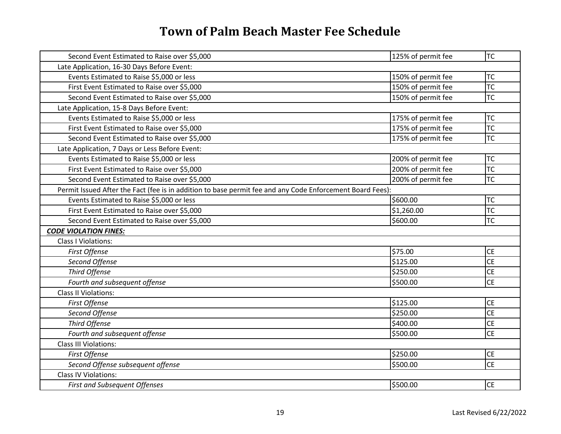| Second Event Estimated to Raise over \$5,000                                                              | 125% of permit fee | <b>TC</b> |
|-----------------------------------------------------------------------------------------------------------|--------------------|-----------|
| Late Application, 16-30 Days Before Event:                                                                |                    |           |
| Events Estimated to Raise \$5,000 or less                                                                 | 150% of permit fee | ltc       |
| First Event Estimated to Raise over \$5,000                                                               | 150% of permit fee | <b>TC</b> |
| Second Event Estimated to Raise over \$5,000                                                              | 150% of permit fee | <b>TC</b> |
| Late Application, 15-8 Days Before Event:                                                                 |                    |           |
| Events Estimated to Raise \$5,000 or less                                                                 | 175% of permit fee | <b>TC</b> |
| First Event Estimated to Raise over \$5,000                                                               | 175% of permit fee | TC        |
| Second Event Estimated to Raise over \$5,000                                                              | 175% of permit fee | <b>TC</b> |
| Late Application, 7 Days or Less Before Event:                                                            |                    |           |
| Events Estimated to Raise \$5,000 or less                                                                 | 200% of permit fee | lтc       |
| First Event Estimated to Raise over \$5,000                                                               | 200% of permit fee | <b>TC</b> |
| Second Event Estimated to Raise over \$5,000                                                              | 200% of permit fee | <b>TC</b> |
| Permit Issued After the Fact (fee is in addition to base permit fee and any Code Enforcement Board Fees): |                    |           |
| Events Estimated to Raise \$5,000 or less                                                                 | \$600.00           | <b>TC</b> |
| First Event Estimated to Raise over \$5,000                                                               | \$1,260.00         | TC        |
| Second Event Estimated to Raise over \$5,000                                                              | \$600.00           | <b>TC</b> |
| <b>CODE VIOLATION FINES:</b>                                                                              |                    |           |
| <b>Class I Violations:</b>                                                                                |                    |           |
| First Offense                                                                                             | \$75.00            | <b>CE</b> |
| Second Offense                                                                                            | \$125.00           | <b>CE</b> |
| Third Offense                                                                                             | \$250.00           | <b>CE</b> |
| Fourth and subsequent offense                                                                             | \$500.00           | <b>CE</b> |
| <b>Class II Violations:</b>                                                                               |                    |           |
| First Offense                                                                                             | \$125.00           | <b>CE</b> |
| Second Offense                                                                                            | \$250.00           | <b>CE</b> |
| Third Offense                                                                                             | \$400.00           | <b>CE</b> |
| Fourth and subsequent offense                                                                             | \$500.00           | <b>CE</b> |
| <b>Class III Violations:</b>                                                                              |                    |           |
| First Offense                                                                                             | \$250.00           | <b>CE</b> |
| Second Offense subsequent offense                                                                         | \$500.00           | <b>CE</b> |
| <b>Class IV Violations:</b>                                                                               |                    |           |
| <b>First and Subsequent Offenses</b>                                                                      | \$500.00           | <b>CE</b> |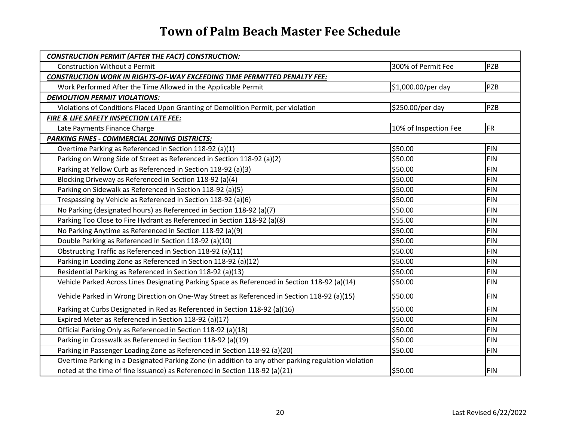| <b>CONSTRUCTION PERMIT (AFTER THE FACT) CONSTRUCTION:</b>                                            |                       |            |
|------------------------------------------------------------------------------------------------------|-----------------------|------------|
| <b>Construction Without a Permit</b>                                                                 | 300% of Permit Fee    | PZB        |
| <b>CONSTRUCTION WORK IN RIGHTS-OF-WAY EXCEEDING TIME PERMITTED PENALTY FEE:</b>                      |                       |            |
| Work Performed After the Time Allowed in the Applicable Permit                                       | \$1,000.00/per day    | <b>PZB</b> |
| <b>DEMOLITION PERMIT VIOLATIONS:</b>                                                                 |                       |            |
| Violations of Conditions Placed Upon Granting of Demolition Permit, per violation                    | \$250.00/per day      | <b>PZB</b> |
| FIRE & LIFE SAFETY INSPECTION LATE FEE:                                                              |                       |            |
| Late Payments Finance Charge                                                                         | 10% of Inspection Fee | <b>FR</b>  |
| <b>PARKING FINES - COMMERCIAL ZONING DISTRICTS:</b>                                                  |                       |            |
| Overtime Parking as Referenced in Section 118-92 (a)(1)                                              | \$50.00               | <b>FIN</b> |
| Parking on Wrong Side of Street as Referenced in Section 118-92 (a)(2)                               | \$50.00               | <b>FIN</b> |
| Parking at Yellow Curb as Referenced in Section 118-92 (a)(3)                                        | \$50.00               | <b>FIN</b> |
| Blocking Driveway as Referenced in Section 118-92 (a)(4)                                             | \$50.00               | <b>FIN</b> |
| Parking on Sidewalk as Referenced in Section 118-92 (a)(5)                                           | \$50.00               | <b>FIN</b> |
| Trespassing by Vehicle as Referenced in Section 118-92 (a)(6)                                        | \$50.00               | <b>FIN</b> |
| No Parking (designated hours) as Referenced in Section 118-92 (a)(7)                                 | \$50.00               | <b>FIN</b> |
| Parking Too Close to Fire Hydrant as Referenced in Section 118-92 (a)(8)                             | \$55.00               | <b>FIN</b> |
| No Parking Anytime as Referenced in Section 118-92 (a)(9)                                            | \$50.00               | <b>FIN</b> |
| Double Parking as Referenced in Section 118-92 (a)(10)                                               | \$50.00               | <b>FIN</b> |
| Obstructing Traffic as Referenced in Section 118-92 (a)(11)                                          | \$50.00               | <b>FIN</b> |
| Parking in Loading Zone as Referenced in Section 118-92 (a)(12)                                      | \$50.00               | <b>FIN</b> |
| Residential Parking as Referenced in Section 118-92 (a)(13)                                          | \$50.00               | <b>FIN</b> |
| Vehicle Parked Across Lines Designating Parking Space as Referenced in Section 118-92 (a)(14)        | \$50.00               | <b>FIN</b> |
| Vehicle Parked in Wrong Direction on One-Way Street as Referenced in Section 118-92 (a)(15)          | \$50.00               | <b>FIN</b> |
| Parking at Curbs Designated in Red as Referenced in Section 118-92 (a)(16)                           | \$50.00               | <b>FIN</b> |
| Expired Meter as Referenced in Section 118-92 (a)(17)                                                | \$50.00               | <b>FIN</b> |
| Official Parking Only as Referenced in Section 118-92 (a)(18)                                        | \$50.00               | <b>FIN</b> |
| Parking in Crosswalk as Referenced in Section 118-92 (a)(19)                                         | \$50.00               | <b>FIN</b> |
| Parking in Passenger Loading Zone as Referenced in Section 118-92 (a)(20)                            | \$50.00               | <b>FIN</b> |
| Overtime Parking in a Designated Parking Zone (in addition to any other parking regulation violation |                       |            |
| noted at the time of fine issuance) as Referenced in Section 118-92 (a)(21)                          | \$50.00               | <b>FIN</b> |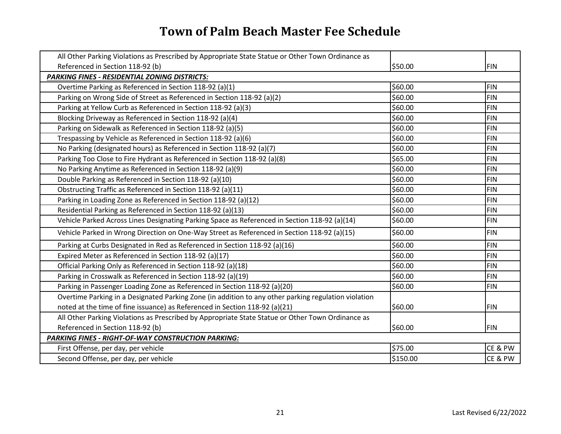| All Other Parking Violations as Prescribed by Appropriate State Statue or Other Town Ordinance as    |          |            |
|------------------------------------------------------------------------------------------------------|----------|------------|
| Referenced in Section 118-92 (b)                                                                     | \$50.00  | <b>FIN</b> |
| PARKING FINES - RESIDENTIAL ZONING DISTRICTS:                                                        |          |            |
| Overtime Parking as Referenced in Section 118-92 (a)(1)                                              | \$60.00  | <b>FIN</b> |
| Parking on Wrong Side of Street as Referenced in Section 118-92 (a)(2)                               | \$60.00  | <b>FIN</b> |
| Parking at Yellow Curb as Referenced in Section 118-92 (a)(3)                                        | \$60.00  | <b>FIN</b> |
| Blocking Driveway as Referenced in Section 118-92 (a)(4)                                             | \$60.00  | <b>FIN</b> |
| Parking on Sidewalk as Referenced in Section 118-92 (a)(5)                                           | \$60.00  | <b>FIN</b> |
| Trespassing by Vehicle as Referenced in Section 118-92 (a)(6)                                        | \$60.00  | <b>FIN</b> |
| No Parking (designated hours) as Referenced in Section 118-92 (a)(7)                                 | \$60.00  | <b>FIN</b> |
| Parking Too Close to Fire Hydrant as Referenced in Section 118-92 (a)(8)                             | \$65.00  | <b>FIN</b> |
| No Parking Anytime as Referenced in Section 118-92 (a)(9)                                            | \$60.00  | <b>FIN</b> |
| Double Parking as Referenced in Section 118-92 (a)(10)                                               | \$60.00  | <b>FIN</b> |
| Obstructing Traffic as Referenced in Section 118-92 (a)(11)                                          | \$60.00  | <b>FIN</b> |
| Parking in Loading Zone as Referenced in Section 118-92 (a)(12)                                      | \$60.00  | <b>FIN</b> |
| Residential Parking as Referenced in Section 118-92 (a)(13)                                          | \$60.00  | <b>FIN</b> |
| Vehicle Parked Across Lines Designating Parking Space as Referenced in Section 118-92 (a)(14)        | \$60.00  | <b>FIN</b> |
| Vehicle Parked in Wrong Direction on One-Way Street as Referenced in Section 118-92 (a)(15)          | \$60.00  | <b>FIN</b> |
| Parking at Curbs Designated in Red as Referenced in Section 118-92 (a)(16)                           | \$60.00  | <b>FIN</b> |
| Expired Meter as Referenced in Section 118-92 (a)(17)                                                | \$60.00  | <b>FIN</b> |
| Official Parking Only as Referenced in Section 118-92 (a)(18)                                        | \$60.00  | <b>FIN</b> |
| Parking in Crosswalk as Referenced in Section 118-92 (a)(19)                                         | \$60.00  | <b>FIN</b> |
| Parking in Passenger Loading Zone as Referenced in Section 118-92 (a)(20)                            | \$60.00  | <b>FIN</b> |
| Overtime Parking in a Designated Parking Zone (in addition to any other parking regulation violation |          |            |
| noted at the time of fine issuance) as Referenced in Section 118-92 (a)(21)                          | \$60.00  | <b>FIN</b> |
| All Other Parking Violations as Prescribed by Appropriate State Statue or Other Town Ordinance as    |          |            |
| Referenced in Section 118-92 (b)                                                                     | \$60.00  | <b>FIN</b> |
| <b>PARKING FINES - RIGHT-OF-WAY CONSTRUCTION PARKING:</b>                                            |          |            |
| First Offense, per day, per vehicle                                                                  | \$75.00  | CE & PW    |
| Second Offense, per day, per vehicle                                                                 | \$150.00 | CE & PW    |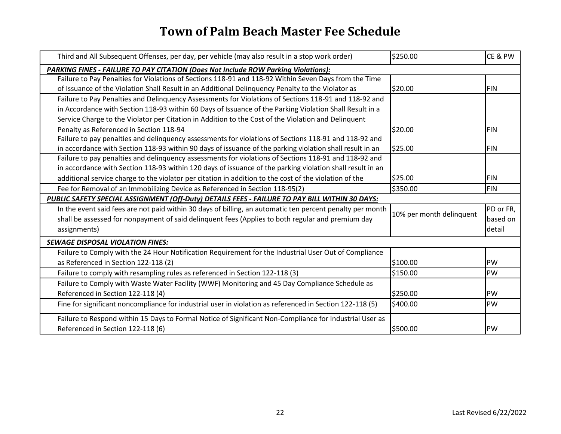| Third and All Subsequent Offenses, per day, per vehicle (may also result in a stop work order)            | \$250.00                 | CE & PW    |
|-----------------------------------------------------------------------------------------------------------|--------------------------|------------|
| PARKING FINES - FAILURE TO PAY CITATION (Does Not Include ROW Parking Violations):                        |                          |            |
| Failure to Pay Penalties for Violations of Sections 118-91 and 118-92 Within Seven Days from the Time     |                          |            |
| of Issuance of the Violation Shall Result in an Additional Delinquency Penalty to the Violator as         | \$20.00                  | <b>FIN</b> |
| Failure to Pay Penalties and Delinquency Assessments for Violations of Sections 118-91 and 118-92 and     |                          |            |
| in Accordance with Section 118-93 within 60 Days of Issuance of the Parking Violation Shall Result in a   |                          |            |
| Service Charge to the Violator per Citation in Addition to the Cost of the Violation and Delinquent       |                          |            |
| Penalty as Referenced in Section 118-94                                                                   | \$20.00                  | <b>FIN</b> |
| Failure to pay penalties and delinquency assessments for violations of Sections 118-91 and 118-92 and     |                          |            |
| in accordance with Section 118-93 within 90 days of issuance of the parking violation shall result in an  | \$25.00                  | <b>FIN</b> |
| Failure to pay penalties and delinquency assessments for violations of Sections 118-91 and 118-92 and     |                          |            |
| in accordance with Section 118-93 within 120 days of issuance of the parking violation shall result in an |                          |            |
| additional service charge to the violator per citation in addition to the cost of the violation of the    | \$25.00                  | <b>FIN</b> |
| Fee for Removal of an Immobilizing Device as Referenced in Section 118-95(2)                              | \$350.00                 | <b>FIN</b> |
| PUBLIC SAFETY SPECIAL ASSIGNMENT (Off-Duty) DETAILS FEES - FAILURE TO PAY BILL WITHIN 30 DAYS:            |                          |            |
| In the event said fees are not paid within 30 days of billing, an automatic ten percent penalty per month | 10% per month delinquent | PD or FR,  |
| shall be assessed for nonpayment of said delinquent fees (Applies to both regular and premium day         |                          | based on   |
| assignments)                                                                                              |                          | detail     |
| <b>SEWAGE DISPOSAL VIOLATION FINES:</b>                                                                   |                          |            |
| Failure to Comply with the 24 Hour Notification Requirement for the Industrial User Out of Compliance     |                          |            |
| as Referenced in Section 122-118 (2)                                                                      | \$100.00                 | PW         |
| Failure to comply with resampling rules as referenced in Section 122-118 (3)                              | \$150.00                 | PW         |
| Failure to Comply with Waste Water Facility (WWF) Monitoring and 45 Day Compliance Schedule as            |                          |            |
| Referenced in Section 122-118 (4)                                                                         | \$250.00                 | PW         |
| Fine for significant noncompliance for industrial user in violation as referenced in Section 122-118 (5)  | \$400.00                 | PW         |
| Failure to Respond within 15 Days to Formal Notice of Significant Non-Compliance for Industrial User as   |                          |            |
| Referenced in Section 122-118 (6)                                                                         | \$500.00                 | PW         |